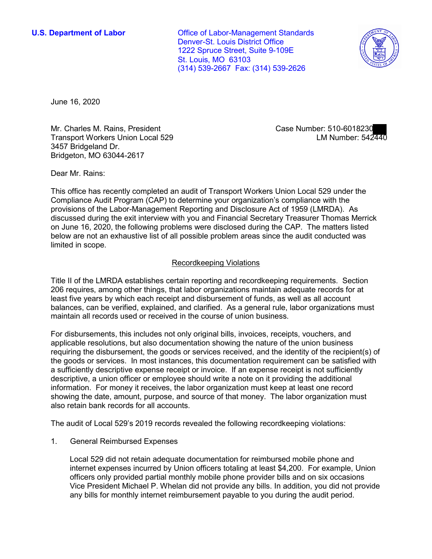**U.S. Department of Labor Conservative Conservative Conservative Conservative Conservative Conservative Conservative Conservative Conservative Conservative Conservative Conservative Conservative Conservative Conservative** Denver-St. Louis District Office 1222 Spruce Street, Suite 9-109E St. Louis, MO 63103 (314) 539-2667 Fax: (314) 539-2626



June 16, 2020

Mr. Charles M. Rains, President Transport Workers Union Local 529 3457 Bridgeland Dr. Bridgeton, MO 63044-2617

Case Number: 510-6018230<br>LM Number: 542440

Dear Mr. Rains:

 Compliance Audit Program (CAP) to determine your organization's compliance with the discussed during the exit interview with you and Financial Secretary Treasurer Thomas Merrick on June 16, 2020, the following problems were disclosed during the CAP. The matters listed This office has recently completed an audit of Transport Workers Union Local 529 under the provisions of the Labor-Management Reporting and Disclosure Act of 1959 (LMRDA). As below are not an exhaustive list of all possible problem areas since the audit conducted was limited in scope.

## Recordkeeping Violations

 206 requires, among other things, that labor organizations maintain adequate records for at least five years by which each receipt and disbursement of funds, as well as all account maintain all records used or received in the course of union business. Title II of the LMRDA establishes certain reporting and recordkeeping requirements. Section balances, can be verified, explained, and clarified. As a general rule, labor organizations must

 requiring the disbursement, the goods or services received, and the identity of the recipient(s) of the goods or services. In most instances, this documentation requirement can be satisfied with a sufficiently descriptive expense receipt or invoice. If an expense receipt is not sufficiently information. For money it receives, the labor organization must keep at least one record showing the date, amount, purpose, and source of that money. The labor organization must also retain bank records for all accounts. For disbursements, this includes not only original bills, invoices, receipts, vouchers, and applicable resolutions, but also documentation showing the nature of the union business descriptive, a union officer or employee should write a note on it providing the additional

The audit of Local 529's 2019 records revealed the following recordkeeping violations:

1. General Reimbursed Expenses

 internet expenses incurred by Union officers totaling at least \$4,200. For example, Union any bills for monthly internet reimbursement payable to you during the audit period. Local 529 did not retain adequate documentation for reimbursed mobile phone and officers only provided partial monthly mobile phone provider bills and on six occasions Vice President Michael P. Whelan did not provide any bills. In addition, you did not provide